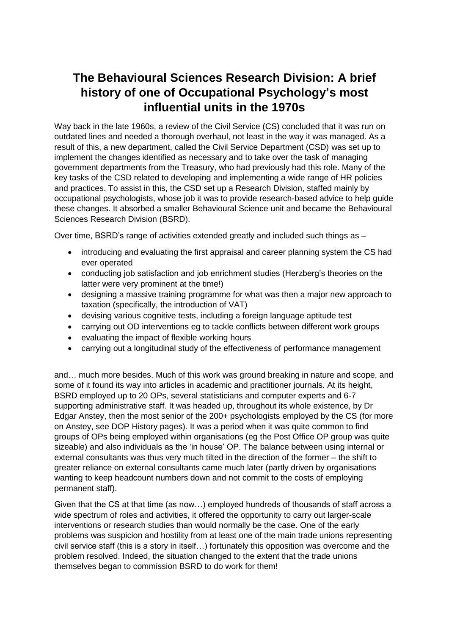## **The Behavioural Sciences Research Division: A brief history of one of Occupational Psychology's most influential units in the 1970s**

Way back in the late 1960s, a review of the Civil Service (CS) concluded that it was run on outdated lines and needed a thorough overhaul, not least in the way it was managed. As a result of this, a new department, called the Civil Service Department (CSD) was set up to implement the changes identified as necessary and to take over the task of managing government departments from the Treasury, who had previously had this role. Many of the key tasks of the CSD related to developing and implementing a wide range of HR policies and practices. To assist in this, the CSD set up a Research Division, staffed mainly by occupational psychologists, whose job it was to provide research-based advice to help guide these changes. It absorbed a smaller Behavioural Science unit and became the Behavioural Sciences Research Division (BSRD).

Over time, BSRD's range of activities extended greatly and included such things as –

- introducing and evaluating the first appraisal and career planning system the CS had ever operated
- conducting job satisfaction and job enrichment studies (Herzberg's theories on the latter were very prominent at the time!)
- designing a massive training programme for what was then a major new approach to taxation (specifically, the introduction of VAT)
- devising various cognitive tests, including a foreign language aptitude test
- carrying out OD interventions eg to tackle conflicts between different work groups
- evaluating the impact of flexible working hours
- carrying out a longitudinal study of the effectiveness of performance management

and… much more besides. Much of this work was ground breaking in nature and scope, and some of it found its way into articles in academic and practitioner journals. At its height, BSRD employed up to 20 OPs, several statisticians and computer experts and 6-7 supporting administrative staff. It was headed up, throughout its whole existence, by Dr Edgar Anstey, then the most senior of the 200+ psychologists employed by the CS (for more on Anstey, see DOP History pages). It was a period when it was quite common to find groups of OPs being employed within organisations (eg the Post Office OP group was quite sizeable) and also individuals as the 'in house' OP. The balance between using internal or external consultants was thus very much tilted in the direction of the former – the shift to greater reliance on external consultants came much later (partly driven by organisations wanting to keep headcount numbers down and not commit to the costs of employing permanent staff).

Given that the CS at that time (as now…) employed hundreds of thousands of staff across a wide spectrum of roles and activities, it offered the opportunity to carry out larger-scale interventions or research studies than would normally be the case. One of the early problems was suspicion and hostility from at least one of the main trade unions representing civil service staff (this is a story in itself…) fortunately this opposition was overcome and the problem resolved. Indeed, the situation changed to the extent that the trade unions themselves began to commission BSRD to do work for them!